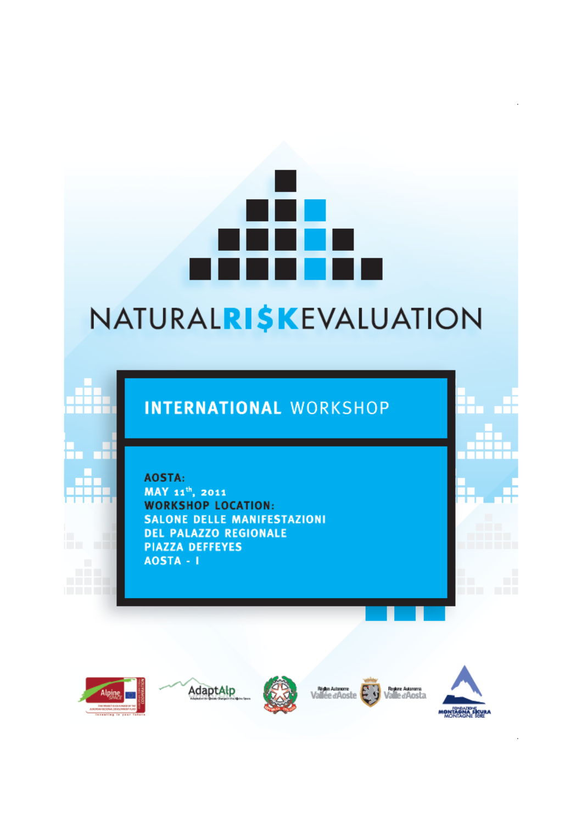## NATURALRI\$KEVALUATION

## **INTERNATIONAL WORKSHOP**

AOSTA:

MAY 11<sup>th</sup>, 2011 **WORKSHOP LOCATION: SALONE DELLE MANIFESTAZIONI DEL PALAZZO REGIONALE PIAZZA DEFFEYES** AOSTA - I



. .